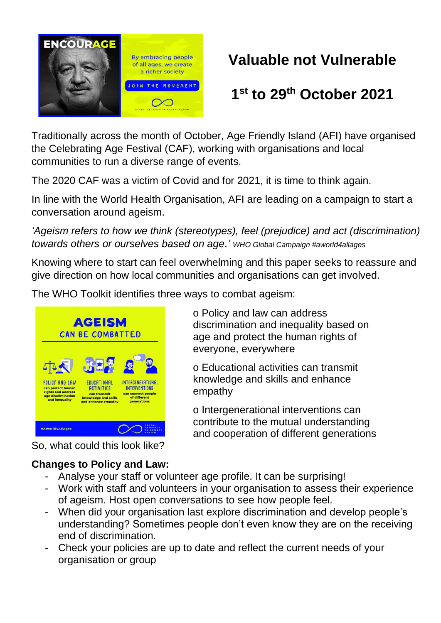

# **Valuable not Vulnerable**

# **1 st to 29th October 2021**

Traditionally across the month of October, Age Friendly Island (AFI) have organised the Celebrating Age Festival (CAF), working with organisations and local communities to run a diverse range of events.

The 2020 CAF was a victim of Covid and for 2021, it is time to think again.

In line with the World Health Organisation, AFI are leading on a campaign to start a conversation around ageism.

*'Ageism refers to how we think (stereotypes), feel (prejudice) and act (discrimination) towards others or ourselves based on age.' WHO Global Campaign #aworld4allages* 

Knowing where to start can feel overwhelming and this paper seeks to reassure and give direction on how local communities and organisations can get involved.

The WHO Toolkit identifies three ways to combat ageism:



So, what could this look like?

## **Changes to Policy and Law:**

- Analyse your staff or volunteer age profile. It can be surprising!
- Work with staff and volunteers in your organisation to assess their experience of ageism. Host open conversations to see how people feel.
- When did your organisation last explore discrimination and develop people's understanding? Sometimes people don't even know they are on the receiving end of discrimination.
- Check your policies are up to date and reflect the current needs of your organisation or group

o Policy and law can address discrimination and inequality based on age and protect the human rights of everyone, everywhere

o Educational activities can transmit knowledge and skills and enhance empathy

o Intergenerational interventions can contribute to the mutual understanding and cooperation of different generations